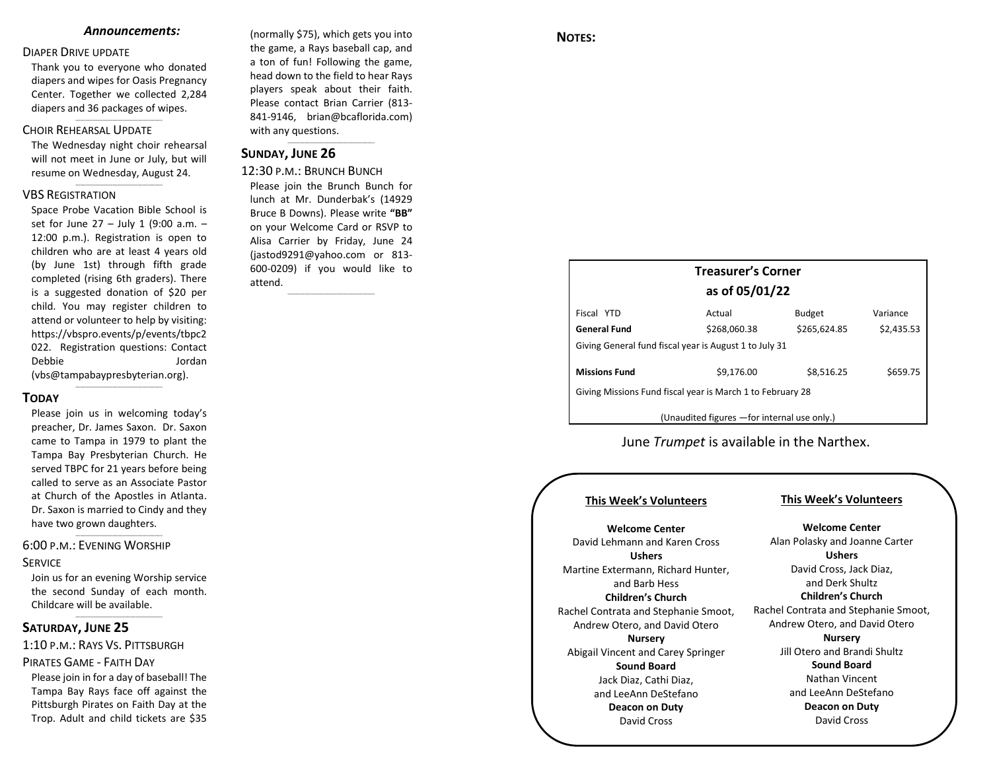#### *Announcements:*

#### DIAPER DRIVE UPDATE

Thank you to everyone who donated diapers and wipes for Oasis Pregnancy Center. Together we collected 2,284 diapers and 36 packages of wipes.

\_\_\_\_\_\_\_\_\_\_\_\_\_\_\_\_\_\_\_\_\_\_\_\_\_\_\_\_\_\_\_\_\_\_\_

### CHOIR REHEARSAL UPDATE

The Wednesday night choir rehearsal will not meet in June or July, but will resume on Wednesday, August 24.  $\_$ 

#### VBS REGISTRATION

Space Probe Vacation Bible School is set for June 27 – July 1 (9:00 a.m. – 12:00 p.m.). Registration is open to children who are at least 4 years old (by June 1st) through fifth grade completed (rising 6th graders). There is a suggested donation of \$20 per child. You may register children to attend or volunteer to help by visiting: [https://vbspro.events/p/events/tbpc2](https://vbspro.events/p/events/tbpc2022) [022.](https://vbspro.events/p/events/tbpc2022) Registration questions: Contact Debbie Jordan [\(vbs@tampabaypresbyterian.org\)](mailto:vbs@tampabaypresbyterian.org).

## **TODAY**

Please join us in welcoming today's preacher, Dr. James Saxon. Dr. Saxon came to Tampa in 1979 to plant the Tampa Bay Presbyterian Church. He served TBPC for 21 years before being called to serve as an Associate Pastor at Church of the Apostles in Atlanta. Dr. Saxon is married to Cindy and they have two grown daughters.

 $\_$ 

## 6:00 P.M.: EVENING WORSHIP

## **SERVICE**

Join us for an evening Worship service the second Sunday of each month. Childcare will be available.  $\_$ 

 $\_$ 

#### **SATURDAY, JUNE 25**

1:10 P.M.: RAYS VS. PITTSBURGH PIRATES GAME - FAITH DAY Please join in for a day of baseball! The Tampa Bay Rays face off against the Pittsburgh Pirates on Faith Day at the Trop. Adult and child tickets are \$35

(normally \$75), which gets you into the game, a Rays baseball cap, and a ton of fun! Following the game, head down to the field to hear Rays players speak about their faith. Please contact Brian Carrier (813- 841-9146, [brian@bcaflorida.com\)](mailto:brian@bcaflorida.com) with any questions.  $\_$ 

#### **SUNDAY, JUNE 26**

12:30 P.M.: BRUNCH BUNCH Please join the Brunch Bunch for lunch at Mr. Dunderbak's (14929 Bruce B Downs). Please write **"BB"** on your Welcome Card or RSVP to Alisa Carrier by Friday, June 24 (jastod9291@yahoo.com or 813- 600-0209) if you would like to attend.

\_\_\_\_\_\_\_\_\_\_\_\_\_\_\_\_\_\_\_\_\_\_\_\_\_\_\_\_\_\_\_\_\_\_\_

## **NOTES:**

# **Treasurer's Corner as of 05/01/22** Fiscal YTD **Actual** Budget Variance

| <b>General Fund</b>                                        | \$268,060.38 | \$265,624.85 | \$2,435.53 |  |
|------------------------------------------------------------|--------------|--------------|------------|--|
| Giving General fund fiscal year is August 1 to July 31     |              |              |            |  |
| <b>Missions Fund</b>                                       | \$9,176.00   | \$8,516.25   | \$659.75   |  |
| Giving Missions Fund fiscal year is March 1 to February 28 |              |              |            |  |

(Unaudited figures —for internal use only.)

June *Trumpet* is available in the Narthex.

#### **This Week's Volunteers**

## **This Week's Volunteers**

**Welcome Center** David Lehmann and Karen Cross **Ushers** Martine Extermann, Richard Hunter, and Barb Hess **Children's Church** Rachel Contrata and Stephanie Smoot, Andrew Otero, and David Otero **Nursery** Abigail Vincent and Carey Springer **Sound Board** Jack Diaz, Cathi Diaz, and LeeAnn DeStefano **Deacon on Duty** David Cross

**Welcome Center** Alan Polasky and Joanne Carter **Ushers** David Cross, Jack Diaz, and Derk Shultz **Children's Church** Rachel Contrata and Stephanie Smoot, Andrew Otero, and David Otero **Nursery** Jill Otero and Brandi Shultz **Sound Board** Nathan Vincent and LeeAnn DeStefano **Deacon on Duty** David Cross